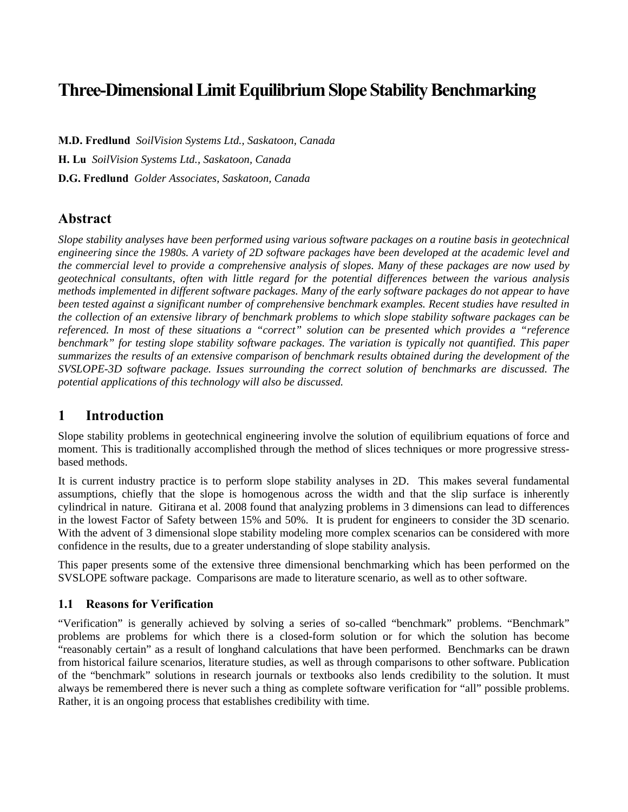# **Three-Dimensional Limit Equilibrium Slope Stability Benchmarking**

**M.D. Fredlund** *SoilVision Systems Ltd., Saskatoon, Canada* **H. Lu** *SoilVision Systems Ltd., Saskatoon, Canada* **D.G. Fredlund** *Golder Associates, Saskatoon, Canada*

## **Abstract**

*Slope stability analyses have been performed using various software packages on a routine basis in geotechnical engineering since the 1980s. A variety of 2D software packages have been developed at the academic level and the commercial level to provide a comprehensive analysis of slopes. Many of these packages are now used by geotechnical consultants, often with little regard for the potential differences between the various analysis methods implemented in different software packages. Many of the early software packages do not appear to have been tested against a significant number of comprehensive benchmark examples. Recent studies have resulted in the collection of an extensive library of benchmark problems to which slope stability software packages can be referenced. In most of these situations a "correct" solution can be presented which provides a "reference benchmark" for testing slope stability software packages. The variation is typically not quantified. This paper summarizes the results of an extensive comparison of benchmark results obtained during the development of the SVSLOPE-3D software package. Issues surrounding the correct solution of benchmarks are discussed. The potential applications of this technology will also be discussed.* 

# **1 Introduction**

Slope stability problems in geotechnical engineering involve the solution of equilibrium equations of force and moment. This is traditionally accomplished through the method of slices techniques or more progressive stressbased methods.

It is current industry practice is to perform slope stability analyses in 2D. This makes several fundamental assumptions, chiefly that the slope is homogenous across the width and that the slip surface is inherently cylindrical in nature. Gitirana et al. 2008 found that analyzing problems in 3 dimensions can lead to differences in the lowest Factor of Safety between 15% and 50%. It is prudent for engineers to consider the 3D scenario. With the advent of 3 dimensional slope stability modeling more complex scenarios can be considered with more confidence in the results, due to a greater understanding of slope stability analysis.

This paper presents some of the extensive three dimensional benchmarking which has been performed on the SVSLOPE software package. Comparisons are made to literature scenario, as well as to other software.

### **1.1 Reasons for Verification**

"Verification" is generally achieved by solving a series of so-called "benchmark" problems. "Benchmark" problems are problems for which there is a closed-form solution or for which the solution has become "reasonably certain" as a result of longhand calculations that have been performed. Benchmarks can be drawn from historical failure scenarios, literature studies, as well as through comparisons to other software. Publication of the "benchmark" solutions in research journals or textbooks also lends credibility to the solution. It must always be remembered there is never such a thing as complete software verification for "all" possible problems. Rather, it is an ongoing process that establishes credibility with time.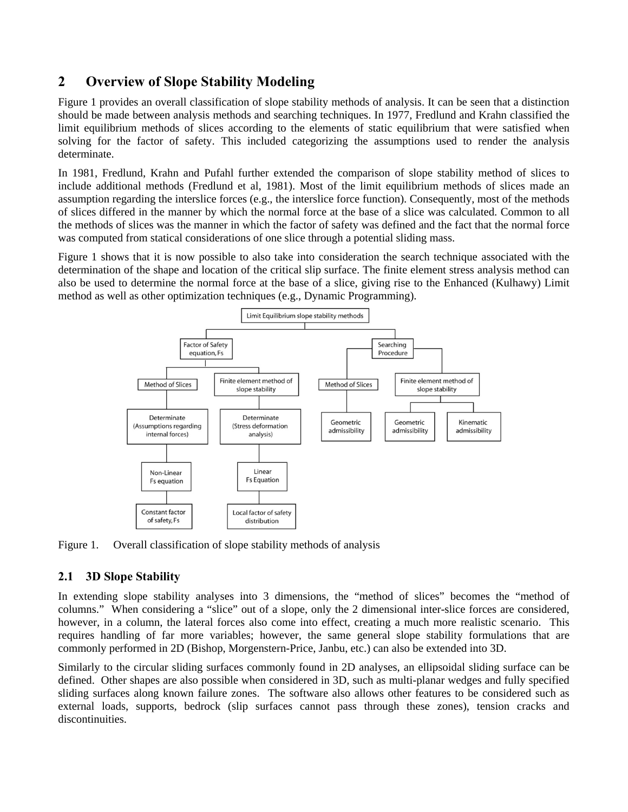# **2 Overview of Slope Stability Modeling**

Figure 1 provides an overall classification of slope stability methods of analysis. It can be seen that a distinction should be made between analysis methods and searching techniques. In 1977, Fredlund and Krahn classified the limit equilibrium methods of slices according to the elements of static equilibrium that were satisfied when solving for the factor of safety. This included categorizing the assumptions used to render the analysis determinate.

In 1981, Fredlund, Krahn and Pufahl further extended the comparison of slope stability method of slices to include additional methods (Fredlund et al, 1981). Most of the limit equilibrium methods of slices made an assumption regarding the interslice forces (e.g., the interslice force function). Consequently, most of the methods of slices differed in the manner by which the normal force at the base of a slice was calculated. Common to all the methods of slices was the manner in which the factor of safety was defined and the fact that the normal force was computed from statical considerations of one slice through a potential sliding mass.

Figure 1 shows that it is now possible to also take into consideration the search technique associated with the determination of the shape and location of the critical slip surface. The finite element stress analysis method can also be used to determine the normal force at the base of a slice, giving rise to the Enhanced (Kulhawy) Limit method as well as other optimization techniques (e.g., Dynamic Programming).



Figure 1. Overall classification of slope stability methods of analysis

## **2.1 3D Slope Stability**

In extending slope stability analyses into 3 dimensions, the "method of slices" becomes the "method of columns." When considering a "slice" out of a slope, only the 2 dimensional inter-slice forces are considered, however, in a column, the lateral forces also come into effect, creating a much more realistic scenario. This requires handling of far more variables; however, the same general slope stability formulations that are commonly performed in 2D (Bishop, Morgenstern-Price, Janbu, etc.) can also be extended into 3D.

Similarly to the circular sliding surfaces commonly found in 2D analyses, an ellipsoidal sliding surface can be defined. Other shapes are also possible when considered in 3D, such as multi-planar wedges and fully specified sliding surfaces along known failure zones. The software also allows other features to be considered such as external loads, supports, bedrock (slip surfaces cannot pass through these zones), tension cracks and discontinuities.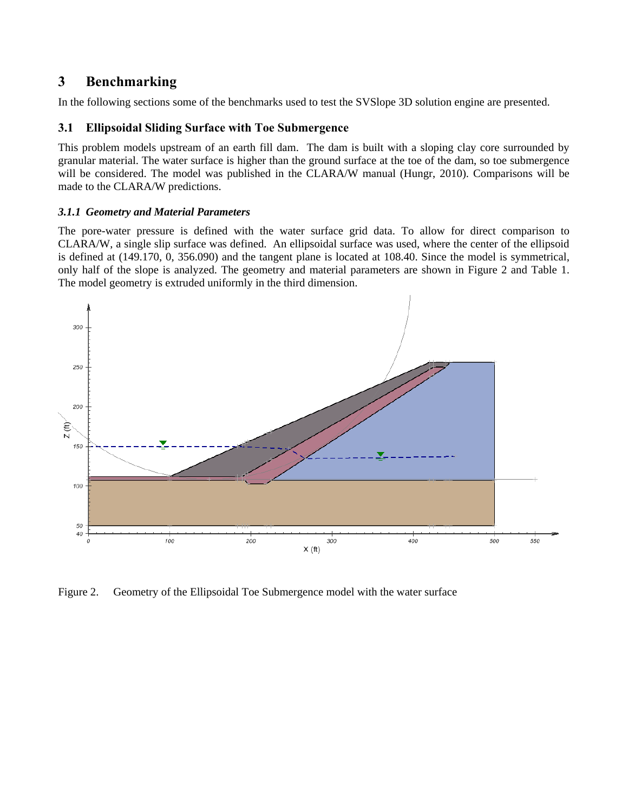# **3 Benchmarking**

In the following sections some of the benchmarks used to test the SVSlope 3D solution engine are presented.

### **3.1 Ellipsoidal Sliding Surface with Toe Submergence**

This problem models upstream of an earth fill dam. The dam is built with a sloping clay core surrounded by granular material. The water surface is higher than the ground surface at the toe of the dam, so toe submergence will be considered. The model was published in the CLARA/W manual (Hungr, 2010). Comparisons will be made to the CLARA/W predictions.

#### *3.1.1 Geometry and Material Parameters*

The pore-water pressure is defined with the water surface grid data. To allow for direct comparison to CLARA/W, a single slip surface was defined. An ellipsoidal surface was used, where the center of the ellipsoid is defined at (149.170, 0, 356.090) and the tangent plane is located at 108.40. Since the model is symmetrical, only half of the slope is analyzed. The geometry and material parameters are shown in Figure 2 and Table 1. The model geometry is extruded uniformly in the third dimension.



Figure 2. Geometry of the Ellipsoidal Toe Submergence model with the water surface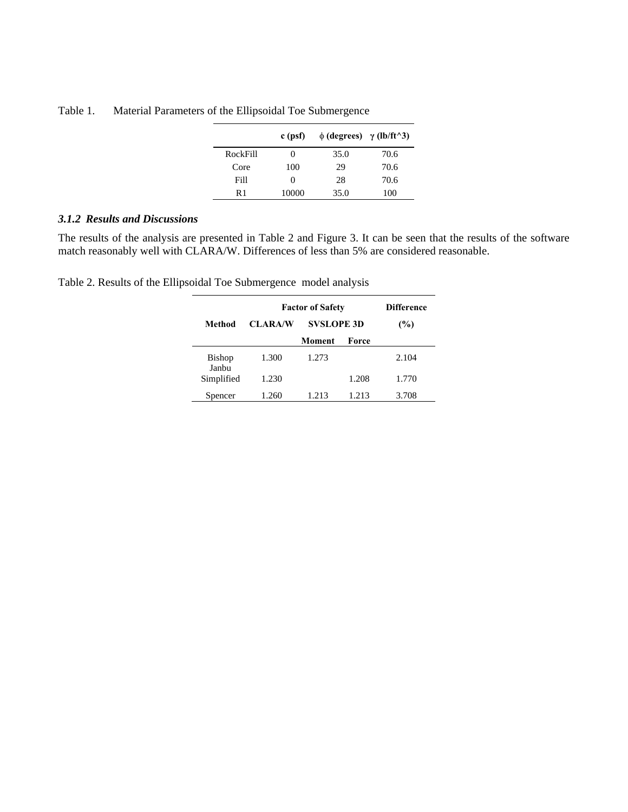|          | c (psf)           | $\phi$ (degrees) $\gamma$ (lb/ft^3) |      |
|----------|-------------------|-------------------------------------|------|
| RockFill | $\theta$          | 35.0                                | 70.6 |
| Core     | 100               | 29                                  | 70.6 |
| Fill     | $\mathbf{\Omega}$ | 28                                  | 70.6 |
| R 1      | 10000             | 35.0                                | 100  |

### Table 1. Material Parameters of the Ellipsoidal Toe Submergence

#### *3.1.2 Results and Discussions*

The results of the analysis are presented in Table 2 and Figure 3. It can be seen that the results of the software match reasonably well with CLARA/W. Differences of less than 5% are considered reasonable.

Table 2. Results of the Ellipsoidal Toe Submergence model analysis

|                        | <b>Factor of Safety</b> | <b>Difference</b> |       |       |
|------------------------|-------------------------|-------------------|-------|-------|
| Method                 | <b>CLARA/W</b>          | <b>SVSLOPE 3D</b> |       | (%)   |
|                        |                         | Moment            | Force |       |
| <b>Bishop</b><br>Janbu | 1.300                   | 1.273             |       | 2.104 |
| Simplified             | 1.230                   |                   | 1.208 | 1.770 |
| pencer                 | 1.260                   | 1.213             | 1.213 | 3.708 |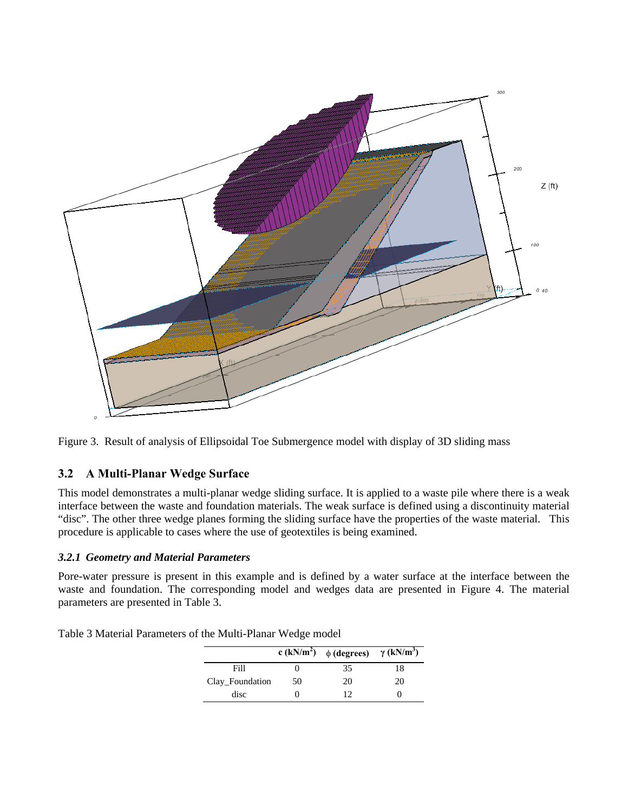

Figure 3. Result of analysis of Ellipsoidal Toe Submergence model with display of 3D sliding mass

### **3.2 A Multi-Planar Wedge Surface**

This model demonstrates a multi-planar wedge sliding surface. It is applied to a waste pile where there is a weak interface between the waste and foundation materials. The weak surface is defined using a discontinuity material "disc". The other three wedge planes forming the sliding surface have the properties of the waste material. This procedure is applicable to cases where the use of geotextiles is being examined.

#### *3.2.1 Geometry and Material Parameters*

Pore-water pressure is present in this example and is defined by a water surface at the interface between the waste and foundation. The corresponding model and wedges data are presented in Figure 4. The material parameters are presented in Table 3.

|                 |    | c (kN/m <sup>2</sup> ) $\phi$ (degrees) $\gamma$ (kN/m <sup>3</sup> ) |    |
|-----------------|----|-----------------------------------------------------------------------|----|
| Fill            |    | 35                                                                    | 18 |
| Clay_Foundation | 50 | 20                                                                    | 20 |
| disc            |    | 12                                                                    |    |

Table 3 Material Parameters of the Multi-Planar Wedge model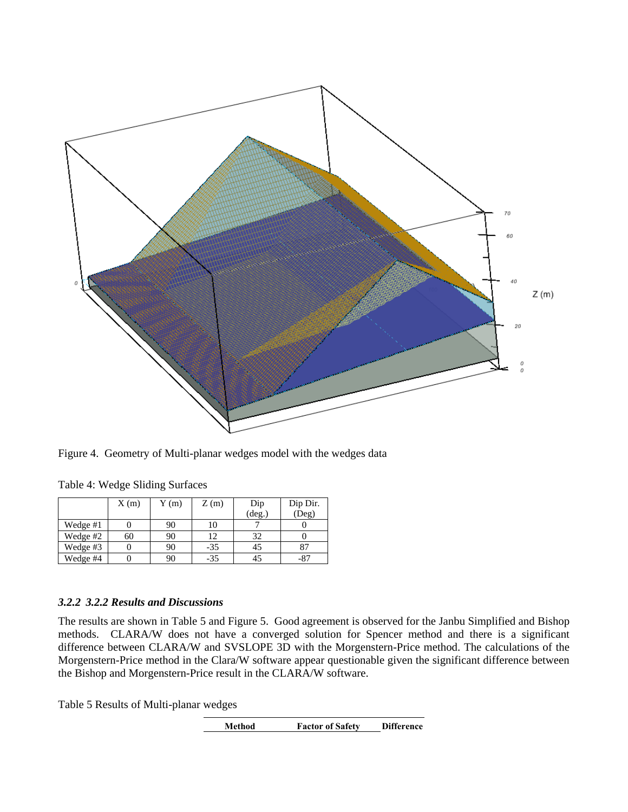

Figure 4. Geometry of Multi-planar wedges model with the wedges data

|          | X(m) | Y(m) | Z(m)  | Dip<br>$(\text{deg.})$ | Dip Dir.<br>$(\overline{\text{Deg}})$ |
|----------|------|------|-------|------------------------|---------------------------------------|
| Wedge #1 |      | 90   | 10    |                        |                                       |
| Wedge #2 | 60   | 90   | 12    | 32                     |                                       |
| Wedge #3 |      | 90   | $-35$ | 45                     | 87                                    |
| Wedge #4 |      | 90   | $-35$ |                        | -87                                   |

Table 4: Wedge Sliding Surfaces

#### *3.2.2 3.2.2 Results and Discussions*

The results are shown in Table 5 and Figure 5. Good agreement is observed for the Janbu Simplified and Bishop methods. CLARA/W does not have a converged solution for Spencer method and there is a significant difference between CLARA/W and SVSLOPE 3D with the Morgenstern-Price method. The calculations of the Morgenstern-Price method in the Clara/W software appear questionable given the significant difference between the Bishop and Morgenstern-Price result in the CLARA/W software.

Table 5 Results of Multi-planar wedges

**Method Factor of Safety Difference**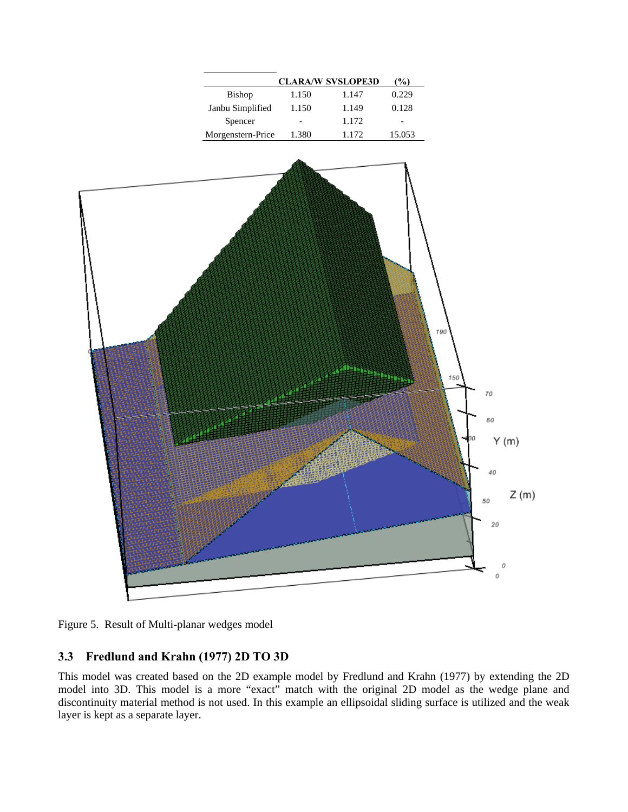

Figure 5. Result of Multi-planar wedges model

### **3.3 Fredlund and Krahn (1977) 2D TO 3D**

This model was created based on the 2D example model by Fredlund and Krahn (1977) by extending the 2D model into 3D. This model is a more "exact" match with the original 2D model as the wedge plane and discontinuity material method is not used. In this example an ellipsoidal sliding surface is utilized and the weak layer is kept as a separate layer.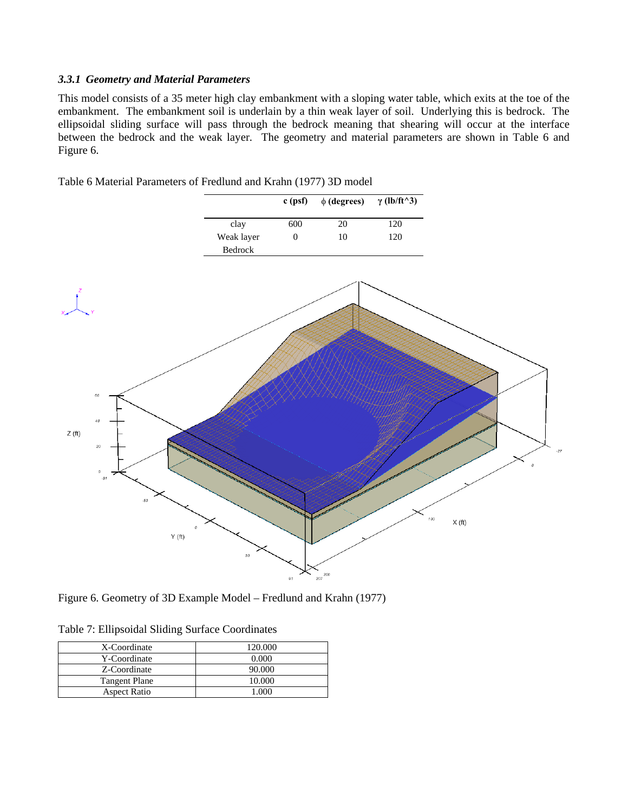#### *3.3.1 Geometry and Material Parameters*

This model consists of a 35 meter high clay embankment with a sloping water table, which exits at the toe of the embankment. The embankment soil is underlain by a thin weak layer of soil. Underlying this is bedrock. The ellipsoidal sliding surface will pass through the bedrock meaning that shearing will occur at the interface between the bedrock and the weak layer. The geometry and material parameters are shown in Table 6 and Figure 6.

Table 6 Material Parameters of Fredlund and Krahn (1977) 3D model



Figure 6. Geometry of 3D Example Model – Fredlund and Krahn (1977)

|  |  |  |  | Table 7: Ellipsoidal Sliding Surface Coordinates |
|--|--|--|--|--------------------------------------------------|
|--|--|--|--|--------------------------------------------------|

| X-Coordinate         | 120.000 |
|----------------------|---------|
| Y-Coordinate         | 0.000   |
| Z-Coordinate         | 90.000  |
| <b>Tangent Plane</b> | 10.000  |
| <b>Aspect Ratio</b>  |         |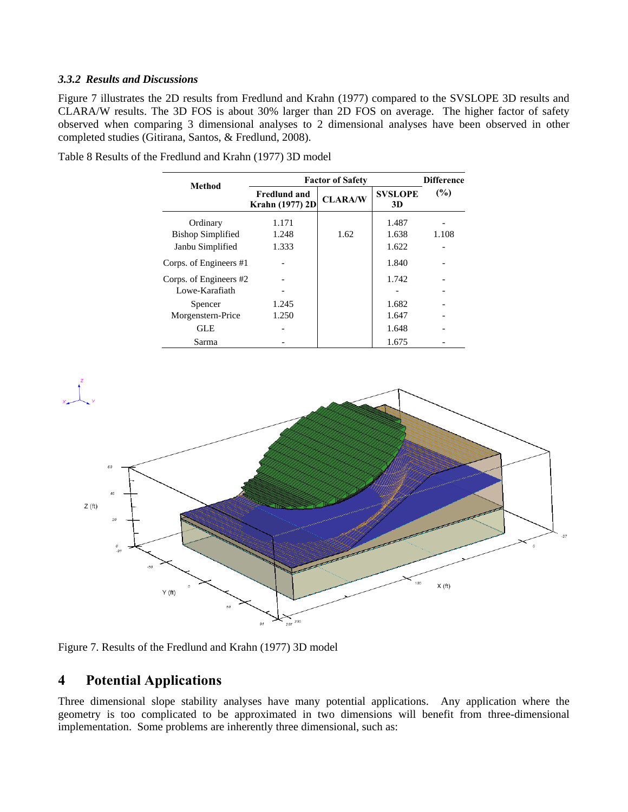#### *3.3.2 Results and Discussions*

Figure 7 illustrates the 2D results from Fredlund and Krahn (1977) compared to the SVSLOPE 3D results and CLARA/W results. The 3D FOS is about 30% larger than 2D FOS on average. The higher factor of safety observed when comparing 3 dimensional analyses to 2 dimensional analyses have been observed in other completed studies (Gitirana, Santos, & Fredlund, 2008).

| <b>Method</b>                            | <b>Factor of Safety</b>                | <b>Difference</b> |                      |       |
|------------------------------------------|----------------------------------------|-------------------|----------------------|-------|
|                                          | <b>Fredlund and</b><br>Krahn (1977) 2D | <b>CLARA/W</b>    | <b>SVSLOPE</b><br>3D | (%)   |
| Ordinary<br><b>Bishop Simplified</b>     | 1.171<br>1.248                         | 1.62              | 1.487<br>1.638       | 1.108 |
| Janbu Simplified                         | 1.333                                  |                   | 1.622                |       |
| Corps. of Engineers #1                   |                                        |                   | 1.840                |       |
| Corps. of Engineers #2<br>Lowe-Karafiath |                                        |                   | 1.742                |       |
| Spencer                                  | 1.245                                  |                   | 1.682                |       |
| Morgenstern-Price                        | 1.250                                  |                   | 1.647                |       |
| GLE                                      |                                        |                   | 1.648                |       |
| Sarma                                    |                                        |                   | 1.675                |       |

Table 8 Results of the Fredlund and Krahn (1977) 3D model



Figure 7. Results of the Fredlund and Krahn (1977) 3D model

# **4 Potential Applications**

Three dimensional slope stability analyses have many potential applications. Any application where the geometry is too complicated to be approximated in two dimensions will benefit from three-dimensional implementation. Some problems are inherently three dimensional, such as: